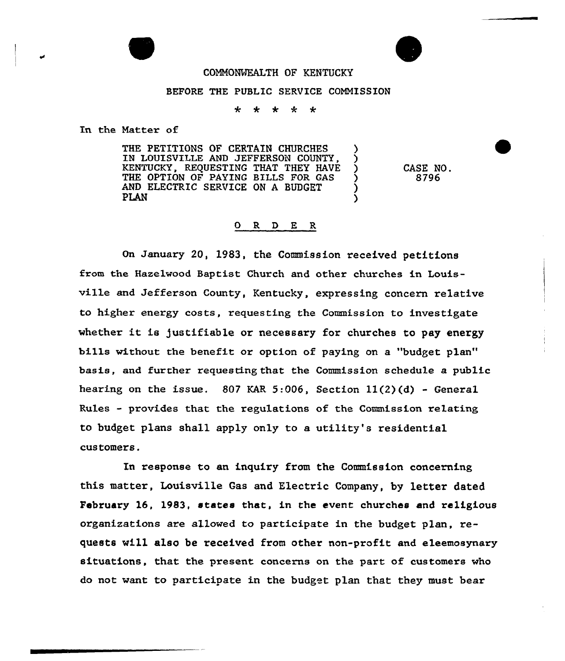## COMMONWEALTH OF KENTUCKY

## BEFORE THE PUBLIC SERVICE CONNISSION

4 مله ≁  $\star$  $\star$ 

In the Natter of

THE PETITIONS OF CERTAIN CHURCHES IN LOUISVILLE AND JEFFERSON COUNTY, )<br>KENTUCKY, REQUESTING THAT THEY HAVE ) KENTUCKY, REQUESTING THAT THEY HAVE )<br>THE OPTION OF PAYING BILLS FOR GAS THE OPTION OF PAYING BILLS FOR GAS AND ELECTRIC SERVICE ON A BUDGET<br>PLAN PLAN DESCRIPTION OF THE SECOND STRUCTURE OF THE SECOND STRUCTURE OF THE SECOND STRUCTURE OF THE SECOND STRUCTURE

CASE NO. 8796

## 0 R <sup>D</sup> E R

On January 20, 1983, the Commission xeceived petitions from the Hazelwood Baptist Church and other churches in Louisville and Jefferson County, Kentucky, expressing concern xelative to higher energy costs, requesting the Commission to investigate whether it is justifiable or necessary for churches to pay energy bills without the benefit or option of paying on a "budget plan" basis, and fuxther requesttng that the Commission schedule a public hearing on the issue.  $807$  KAR 5:006, Section  $11(2)(d)$  - General Rules - provides that the regulations of the Commission relating to budget plans shall apply only to a utility's residential customers.

In response to an inquiry from the Commission concerning this matter, Louisville Gas and Electric Company, by letter dated February 16, 1983, states that, in the event churches and religious organizations are allowed to participate in the budget plan, requests will also be xeceived from othex non-profit and eleemosynary situations, that the present concerns on the part of customers who do not want to participate in the budget plan that they must bear